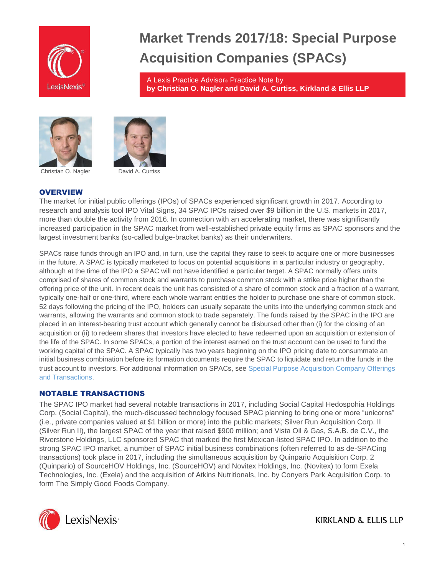

# **Market Trends 2017/18: Special Purpose Acquisition Companies (SPACs)**

A Lexis Practice Advisor® Practice Note by **by Christian O. Nagler and David A. Curtiss, Kirkland & Ellis LLP**



Christian O. Nagler David A. Curtiss



# **OVERVIEW**

The market for initial public offerings (IPOs) of SPACs experienced significant growth in 2017. According to research and analysis tool IPO Vital Signs, 34 SPAC IPOs raised over \$9 billion in the U.S. markets in 2017, more than double the activity from 2016. In connection with an accelerating market, there was significantly increased participation in the SPAC market from well-established private equity firms as SPAC sponsors and the largest investment banks (so-called bulge-bracket banks) as their underwriters.

SPACs raise funds through an IPO and, in turn, use the capital they raise to seek to acquire one or more businesses in the future. A SPAC is typically marketed to focus on potential acquisitions in a particular industry or geography, although at the time of the IPO a SPAC will not have identified a particular target. A SPAC normally offers units comprised of shares of common stock and warrants to purchase common stock with a strike price higher than the offering price of the unit. In recent deals the unit has consisted of a share of common stock and a fraction of a warrant, typically one-half or one-third, where each whole warrant entitles the holder to purchase one share of common stock. 52 days following the pricing of the IPO, holders can usually separate the units into the underlying common stock and warrants, allowing the warrants and common stock to trade separately. The funds raised by the SPAC in the IPO are placed in an interest-bearing trust account which generally cannot be disbursed other than (i) for the closing of an acquisition or (ii) to redeem shares that investors have elected to have redeemed upon an acquisition or extension of the life of the SPAC. In some SPACs, a portion of the interest earned on the trust account can be used to fund the working capital of the SPAC. A SPAC typically has two years beginning on the IPO pricing date to consummate an initial business combination before its formation documents require the SPAC to liquidate and return the funds in the trust account to investors. For additional information on SPACs, see [Special Purpose Acquisition Company Offerings](https://advance.lexis.com/open/document/lpadocument/?pdmfid=1000522&crid=0ddfde9f-9bf9-4b0a-afe2-2c960c0f4f88&pddocfullpath=%2Fshared%2Fdocument%2Fanalytical-materials%2Furn%3AcontentItem%3A5PRW-C611-FJTD-G46V-00000-00&pddocid=urn%3AcontentItem%3A5PRW-C611-FJTD-G46V-00000-00&pdcontentcomponentid=101206&pdteaserkey=sr0&pditab=allpods&ecomp=-vtg&earg=sr0&prid=8ab590bd-4bfa-457f-8d09-e026cd020a4b)  [and Transactions.](https://advance.lexis.com/open/document/lpadocument/?pdmfid=1000522&crid=0ddfde9f-9bf9-4b0a-afe2-2c960c0f4f88&pddocfullpath=%2Fshared%2Fdocument%2Fanalytical-materials%2Furn%3AcontentItem%3A5PRW-C611-FJTD-G46V-00000-00&pddocid=urn%3AcontentItem%3A5PRW-C611-FJTD-G46V-00000-00&pdcontentcomponentid=101206&pdteaserkey=sr0&pditab=allpods&ecomp=-vtg&earg=sr0&prid=8ab590bd-4bfa-457f-8d09-e026cd020a4b)

### NOTABLE TRANSACTIONS

The SPAC IPO market had several notable transactions in 2017, including Social Capital Hedospohia Holdings Corp. (Social Capital), the much-discussed technology focused SPAC planning to bring one or more "unicorns" (i.e., private companies valued at \$1 billion or more) into the public markets; Silver Run Acquisition Corp. II (Silver Run II), the largest SPAC of the year that raised \$900 million; and Vista Oil & Gas, S.A.B. de C.V., the Riverstone Holdings, LLC sponsored SPAC that marked the first Mexican-listed SPAC IPO. In addition to the strong SPAC IPO market, a number of SPAC initial business combinations (often referred to as de-SPACing transactions) took place in 2017, including the simultaneous acquisition by Quinpario Acquisition Corp. 2 (Quinpario) of SourceHOV Holdings, Inc. (SourceHOV) and Novitex Holdings, Inc. (Novitex) to form Exela Technologies, Inc. (Exela) and the acquisition of Atkins Nutritionals, Inc. by Conyers Park Acquisition Corp. to form The Simply Good Foods Company.

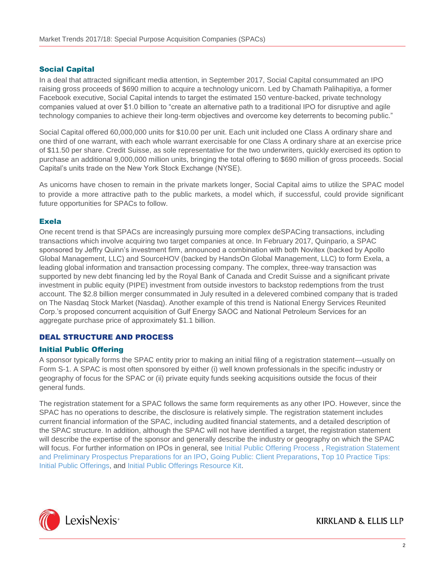## Social Capital

In a deal that attracted significant media attention, in September 2017, Social Capital consummated an IPO raising gross proceeds of \$690 million to acquire a technology unicorn. Led by Chamath Palihapitiya, a former Facebook executive, Social Capital intends to target the estimated 150 venture-backed, private technology companies valued at over \$1.0 billion to "create an alternative path to a traditional IPO for disruptive and agile technology companies to achieve their long-term objectives and overcome key deterrents to becoming public."

Social Capital offered 60,000,000 units for \$10.00 per unit. Each unit included one Class A ordinary share and one third of one warrant, with each whole warrant exercisable for one Class A ordinary share at an exercise price of \$11.50 per share. Credit Suisse, as sole representative for the two underwriters, quickly exercised its option to purchase an additional 9,000,000 million units, bringing the total offering to \$690 million of gross proceeds. Social Capital's units trade on the New York Stock Exchange (NYSE).

As unicorns have chosen to remain in the private markets longer, Social Capital aims to utilize the SPAC model to provide a more attractive path to the public markets, a model which, if successful, could provide significant future opportunities for SPACs to follow.

### Exela

One recent trend is that SPACs are increasingly pursuing more complex deSPACing transactions, including transactions which involve acquiring two target companies at once. In February 2017, Quinpario, a SPAC sponsored by Jeffry Quinn's investment firm, announced a combination with both Novitex (backed by Apollo Global Management, LLC) and SourceHOV (backed by HandsOn Global Management, LLC) to form Exela, a leading global information and transaction processing company. The complex, three-way transaction was supported by new debt financing led by the Royal Bank of Canada and Credit Suisse and a significant private investment in public equity (PIPE) investment from outside investors to backstop redemptions from the trust account. The \$2.8 billion merger consummated in July resulted in a delevered combined company that is traded on The Nasdaq Stock Market (Nasdaq). Another example of this trend is National Energy Services Reunited Corp.'s proposed concurrent acquisition of Gulf Energy SAOC and National Petroleum Services for an aggregate purchase price of approximately \$1.1 billion.

# DEAL STRUCTURE AND PROCESS

### Initial Public Offering

A sponsor typically forms the SPAC entity prior to making an initial filing of a registration statement—usually on Form S-1. A SPAC is most often sponsored by either (i) well known professionals in the specific industry or geography of focus for the SPAC or (ii) private equity funds seeking acquisitions outside the focus of their general funds.

The registration statement for a SPAC follows the same form requirements as any other IPO. However, since the SPAC has no operations to describe, the disclosure is relatively simple. The registration statement includes current financial information of the SPAC, including audited financial statements, and a detailed description of the SPAC structure. In addition, although the SPAC will not have identified a target, the registration statement will describe the expertise of the sponsor and generally describe the industry or geography on which the SPAC will focus. For further information on IPOs in general, see [Initial Public Offering Process](https://advance.lexis.com/open/document/lpadocument/?pdmfid=1000522&crid=18712cdb-9567-4222-8b0f-ca1d8360312c&pddocfullpath=%2Fshared%2Fdocument%2Fanalytical-materials%2Furn%3AcontentItem%3A576Y-2CH1-DXPM-S022-00000-00&pddocid=urn%3AcontentItem%3A576Y-2CH1-DXPM-S022-00000-00&pdcontentcomponentid=101206&pdteaserkey=sr0&pditab=allpods&ecomp=-vtg&earg=sr0&prid=5498fee2-de92-4100-b057-15fea52962e3) , [Registration Statement](https://advance.lexis.com/open/document/lpadocument/?pdmfid=1000522&crid=29b95ae8-4b20-48b0-89ff-7bcaf984fc25&pddocfullpath=%2Fshared%2Fdocument%2Fanalytical-materials%2Furn%3AcontentItem%3A5995-G7W1-JWJ0-G48F-00000-00&pddocid=urn%3AcontentItem%3A5995-G7W1-JWJ0-G48F-00000-00&pdcontentcomponentid=101206&pdteaserkey=sr0&pditab=allpods&ecomp=-vtg&earg=sr0&prid=1ac18e2b-e17a-4694-a215-d8f190001ea9)  [and](https://advance.lexis.com/open/document/lpadocument/?pdmfid=1000522&crid=29b95ae8-4b20-48b0-89ff-7bcaf984fc25&pddocfullpath=%2Fshared%2Fdocument%2Fanalytical-materials%2Furn%3AcontentItem%3A5995-G7W1-JWJ0-G48F-00000-00&pddocid=urn%3AcontentItem%3A5995-G7W1-JWJ0-G48F-00000-00&pdcontentcomponentid=101206&pdteaserkey=sr0&pditab=allpods&ecomp=-vtg&earg=sr0&prid=1ac18e2b-e17a-4694-a215-d8f190001ea9) [Preliminary Prospectus Preparations for an IPO,](https://advance.lexis.com/open/document/lpadocument/?pdmfid=1000522&crid=29b95ae8-4b20-48b0-89ff-7bcaf984fc25&pddocfullpath=%2Fshared%2Fdocument%2Fanalytical-materials%2Furn%3AcontentItem%3A5995-G7W1-JWJ0-G48F-00000-00&pddocid=urn%3AcontentItem%3A5995-G7W1-JWJ0-G48F-00000-00&pdcontentcomponentid=101206&pdteaserkey=sr0&pditab=allpods&ecomp=-vtg&earg=sr0&prid=1ac18e2b-e17a-4694-a215-d8f190001ea9) [Going Public: Client Preparations,](https://advance.lexis.com/open/document/lpadocument/?pdmfid=1000522&crid=2887f18b-ee19-4b9e-8668-17477b864899&pddocfullpath=%2Fshared%2Fdocument%2Fanalytical-materials%2Furn%3AcontentItem%3A5995-G7W1-JWJ0-G463-00000-00&pddocid=urn%3AcontentItem%3A5995-G7W1-JWJ0-G463-00000-00&pdcontentcomponentid=101206&pdteaserkey=sr0&pditab=allpods&ecomp=-vtg&earg=sr0&prid=99a6f9bc-9722-4df4-b415-447ab44ba944) [Top 10 Practice Tips:](https://advance.lexis.com/open/document/lpadocument/?pdmfid=1000522&crid=590e426d-e706-4851-be37-59eebfd49e90&pddocfullpath=%2Fshared%2Fdocument%2Fanalytical-materials%2Furn%3AcontentItem%3A5P75-BTF1-F22N-X2S2-00000-00&pddocid=urn%3AcontentItem%3A5P75-BTF1-F22N-X2S2-00000-00&pdcontentcomponentid=101206&pdteaserkey=sr0&pditab=allpods&ecomp=-vtg&earg=sr0&prid=47c5a7fb-ea1d-4aa7-b85c-93b89cb42833)  [Initial](https://advance.lexis.com/open/document/lpadocument/?pdmfid=1000522&crid=590e426d-e706-4851-be37-59eebfd49e90&pddocfullpath=%2Fshared%2Fdocument%2Fanalytical-materials%2Furn%3AcontentItem%3A5P75-BTF1-F22N-X2S2-00000-00&pddocid=urn%3AcontentItem%3A5P75-BTF1-F22N-X2S2-00000-00&pdcontentcomponentid=101206&pdteaserkey=sr0&pditab=allpods&ecomp=-vtg&earg=sr0&prid=47c5a7fb-ea1d-4aa7-b85c-93b89cb42833) [Public Offerings,](https://advance.lexis.com/open/document/lpadocument/?pdmfid=1000522&crid=590e426d-e706-4851-be37-59eebfd49e90&pddocfullpath=%2Fshared%2Fdocument%2Fanalytical-materials%2Furn%3AcontentItem%3A5P75-BTF1-F22N-X2S2-00000-00&pddocid=urn%3AcontentItem%3A5P75-BTF1-F22N-X2S2-00000-00&pdcontentcomponentid=101206&pdteaserkey=sr0&pditab=allpods&ecomp=-vtg&earg=sr0&prid=47c5a7fb-ea1d-4aa7-b85c-93b89cb42833) and [Initial Public Offerings Resource Kit.](https://advance.lexis.com/open/document/lpadocument/?pdmfid=1000522&crid=6a92b052-2504-4bae-8760-0341d2711c3e&pddocfullpath=%2Fshared%2Fdocument%2Fanalytical-materials%2Furn%3AcontentItem%3A5MM6-CB71-K054-G29X-00000-00&pddocid=urn%3AcontentItem%3A5MM6-CB71-K054-G29X-00000-00&pdcontentcomponentid=101206&pdteaserkey=sr0&pditab=allpods&ecomp=-vtg&earg=sr0&prid=d204c7e0-f1cf-47dd-8076-1f067df0e1a5)

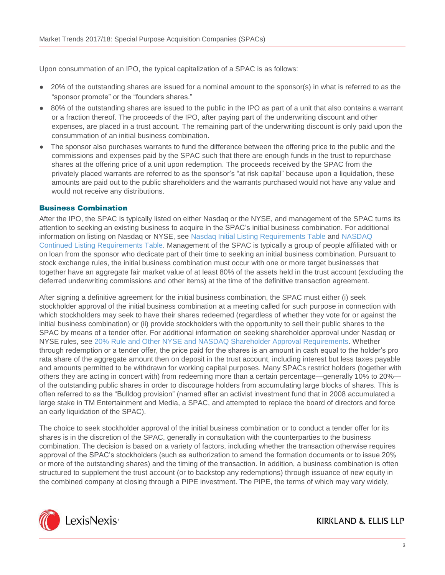Upon consummation of an IPO, the typical capitalization of a SPAC is as follows:

- 20% of the outstanding shares are issued for a nominal amount to the sponsor(s) in what is referred to as the "sponsor promote" or the "founders shares."
- 80% of the outstanding shares are issued to the public in the IPO as part of a unit that also contains a warrant or a fraction thereof. The proceeds of the IPO, after paying part of the underwriting discount and other expenses, are placed in a trust account. The remaining part of the underwriting discount is only paid upon the consummation of an initial business combination.
- The sponsor also purchases warrants to fund the difference between the offering price to the public and the commissions and expenses paid by the SPAC such that there are enough funds in the trust to repurchase shares at the offering price of a unit upon redemption. The proceeds received by the SPAC from the privately placed warrants are referred to as the sponsor's "at risk capital" because upon a liquidation, these amounts are paid out to the public shareholders and the warrants purchased would not have any value and would not receive any distributions.

# Business Combination

After the IPO, the SPAC is typically listed on either Nasdaq or the NYSE, and management of the SPAC turns its attention to seeking an existing business to acquire in the SPAC's initial business combination. For additional information on listing on Nasdaq or NYSE, see [Nasdaq Initial Listing Requirements Table](https://advance.lexis.com/open/document/lpadocument/?pdmfid=1000522&crid=f70061a2-47ee-470d-80fa-5762a57898ca&pddocfullpath=%2Fshared%2Fdocument%2Fforms%2Furn%3AcontentItem%3A5J6K-9SX1-JTGH-B3MR-00000-00&pddocid=urn%3AcontentItem%3A5J6K-9SX1-JTGH-B3MR-00000-00&pdcontentcomponentid=101207&pdteaserkey=sr0&pditab=allpods&ecomp=-vtg&earg=sr0&prid=34edbf5b-7d65-4bbb-a672-4c604956a25b) and [NASDAQ](https://advance.lexis.com/open/document/lpadocument/?pdmfid=1000522&crid=e8de0704-00d9-47ff-aa0d-4a02ccf47013&pddocfullpath=%2Fshared%2Fdocument%2Fforms%2Furn%3AcontentItem%3A5J6K-9SX1-JTGH-B3MP-00000-00&pddocid=urn%3AcontentItem%3A5J6K-9SX1-JTGH-B3MP-00000-00&pdcontentcomponentid=101207&pdteaserkey=sr0&pditab=allpods&ecomp=-vtg&earg=sr0&prid=d856fd43-0c82-498a-b31e-3146ba7ca336) [Continued Listing Requirements Table.](https://advance.lexis.com/open/document/lpadocument/?pdmfid=1000522&crid=e8de0704-00d9-47ff-aa0d-4a02ccf47013&pddocfullpath=%2Fshared%2Fdocument%2Fforms%2Furn%3AcontentItem%3A5J6K-9SX1-JTGH-B3MP-00000-00&pddocid=urn%3AcontentItem%3A5J6K-9SX1-JTGH-B3MP-00000-00&pdcontentcomponentid=101207&pdteaserkey=sr0&pditab=allpods&ecomp=-vtg&earg=sr0&prid=d856fd43-0c82-498a-b31e-3146ba7ca336) Management of the SPAC is typically a group of people affiliated with or on loan from the sponsor who dedicate part of their time to seeking an initial business combination. Pursuant to stock exchange rules, the initial business combination must occur with one or more target businesses that together have an aggregate fair market value of at least 80% of the assets held in the trust account (excluding the deferred underwriting commissions and other items) at the time of the definitive transaction agreement.

After signing a definitive agreement for the initial business combination, the SPAC must either (i) seek stockholder approval of the initial business combination at a meeting called for such purpose in connection with which stockholders may seek to have their shares redeemed (regardless of whether they vote for or against the initial business combination) or (ii) provide stockholders with the opportunity to sell their public shares to the SPAC by means of a tender offer. For additional information on seeking shareholder approval under Nasdaq or NYSE rules, see [20% Rule and Other NYSE and NASDAQ Shareholder Approval Requirements.](https://advance.lexis.com/open/document/lpadocument/?pdmfid=1000522&crid=33c8dd75-8f86-424c-b778-8e5b3de7cf6d&pddocfullpath=%2Fshared%2Fdocument%2Fanalytical-materials%2Furn%3AcontentItem%3A5J9R-YR71-JXNB-64MK-00000-00&pddocid=urn%3AcontentItem%3A5J9R-YR71-JXNB-64MK-00000-00&pdcontentcomponentid=101206&pdteaserkey=sr0&pditab=allpods&ecomp=-vtg&earg=sr0&prid=c9181ce8-1b9b-4b0f-8ab6-1dfdccf9ba6d) Whether through redemption or a tender offer, the price paid for the shares is an amount in cash equal to the holder's pro rata share of the aggregate amount then on deposit in the trust account, including interest but less taxes payable and amounts permitted to be withdrawn for working capital purposes. Many SPACs restrict holders (together with others they are acting in concert with) from redeeming more than a certain percentage—generally 10% to 20% of the outstanding public shares in order to discourage holders from accumulating large blocks of shares. This is often referred to as the "Bulldog provision" (named after an activist investment fund that in 2008 accumulated a large stake in TM Entertainment and Media, a SPAC, and attempted to replace the board of directors and force an early liquidation of the SPAC).

The choice to seek stockholder approval of the initial business combination or to conduct a tender offer for its shares is in the discretion of the SPAC, generally in consultation with the counterparties to the business combination. The decision is based on a variety of factors, including whether the transaction otherwise requires approval of the SPAC's stockholders (such as authorization to amend the formation documents or to issue 20% or more of the outstanding shares) and the timing of the transaction. In addition, a business combination is often structured to supplement the trust account (or to backstop any redemptions) through issuance of new equity in the combined company at closing through a PIPE investment. The PIPE, the terms of which may vary widely,

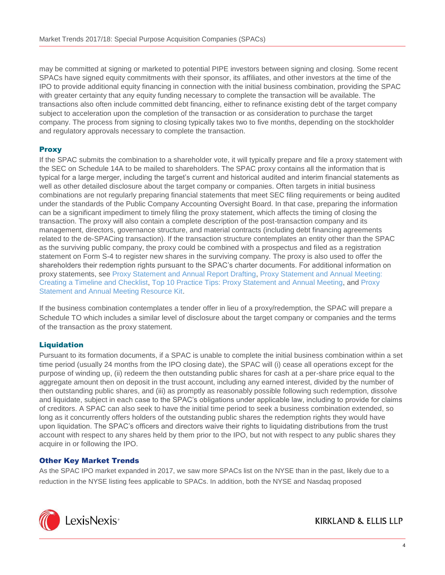may be committed at signing or marketed to potential PIPE investors between signing and closing. Some recent SPACs have signed equity commitments with their sponsor, its affiliates, and other investors at the time of the IPO to provide additional equity financing in connection with the initial business combination, providing the SPAC with greater certainty that any equity funding necessary to complete the transaction will be available. The transactions also often include committed debt financing, either to refinance existing debt of the target company subject to acceleration upon the completion of the transaction or as consideration to purchase the target company. The process from signing to closing typically takes two to five months, depending on the stockholder and regulatory approvals necessary to complete the transaction.

# **Proxy**

If the SPAC submits the combination to a shareholder vote, it will typically prepare and file a proxy statement with the SEC on Schedule 14A to be mailed to shareholders. The SPAC proxy contains all the information that is typical for a large merger, including the target's current and historical audited and interim financial statements as well as other detailed disclosure about the target company or companies. Often targets in initial business combinations are not regularly preparing financial statements that meet SEC filing requirements or being audited under the standards of the Public Company Accounting Oversight Board. In that case, preparing the information can be a significant impediment to timely filing the proxy statement, which affects the timing of closing the transaction. The proxy will also contain a complete description of the post-transaction company and its management, directors, governance structure, and material contracts (including debt financing agreements related to the de-SPACing transaction). If the transaction structure contemplates an entity other than the SPAC as the surviving public company, the proxy could be combined with a prospectus and filed as a registration statement on Form S-4 to register new shares in the surviving company. The proxy is also used to offer the shareholders their redemption rights pursuant to the SPAC's charter documents. For additional information on proxy statements, see [Proxy Statement and Annual Report Drafting,](https://advance.lexis.com/open/document/lpadocument/?pdmfid=1000522&crid=946590ba-5bca-40f0-a542-bfd479daba41&pddocfullpath=%2Fshared%2Fdocument%2Fanalytical-materials%2Furn%3AcontentItem%3A576Y-2CH1-DXPM-S037-00000-00&pddocid=urn%3AcontentItem%3A576Y-2CH1-DXPM-S037-00000-00&pdcontentcomponentid=101206&pdteaserkey=sr0&pditab=allpods&ecomp=-vtg&earg=sr0&prid=7a78275e-5e64-4d96-9a4a-676293d3f1f9) [Proxy Statement and Annual Meeting:](https://advance.lexis.com/open/document/lpadocument/?pdmfid=1000522&crid=7561558a-a0c7-4999-b21e-222dab8b0ef2&pddocfullpath=%2Fshared%2Fdocument%2Fanalytical-materials%2Furn%3AcontentItem%3A5995-G7W1-JWJ0-G48B-00000-00&pddocid=urn%3AcontentItem%3A5995-G7W1-JWJ0-G48B-00000-00&pdcontentcomponentid=101206&pdteaserkey=sr0&pditab=allpods&ecomp=-vtg&earg=sr0&prid=8d5d2633-ea20-4851-ac01-9ba940a3ae86)  [Creating a](https://advance.lexis.com/open/document/lpadocument/?pdmfid=1000522&crid=7561558a-a0c7-4999-b21e-222dab8b0ef2&pddocfullpath=%2Fshared%2Fdocument%2Fanalytical-materials%2Furn%3AcontentItem%3A5995-G7W1-JWJ0-G48B-00000-00&pddocid=urn%3AcontentItem%3A5995-G7W1-JWJ0-G48B-00000-00&pdcontentcomponentid=101206&pdteaserkey=sr0&pditab=allpods&ecomp=-vtg&earg=sr0&prid=8d5d2633-ea20-4851-ac01-9ba940a3ae86) [Timeline and Checklist,](https://advance.lexis.com/open/document/lpadocument/?pdmfid=1000522&crid=7561558a-a0c7-4999-b21e-222dab8b0ef2&pddocfullpath=%2Fshared%2Fdocument%2Fanalytical-materials%2Furn%3AcontentItem%3A5995-G7W1-JWJ0-G48B-00000-00&pddocid=urn%3AcontentItem%3A5995-G7W1-JWJ0-G48B-00000-00&pdcontentcomponentid=101206&pdteaserkey=sr0&pditab=allpods&ecomp=-vtg&earg=sr0&prid=8d5d2633-ea20-4851-ac01-9ba940a3ae86) [Top 10 Practice Tips: Proxy Statement and Annual Meeting,](https://advance.lexis.com/open/document/lpadocument/?pdmfid=1000522&crid=0d047a38-06a9-4146-828e-a6c6582c0277&pddocfullpath=%2Fshared%2Fdocument%2Fanalytical-materials%2Furn%3AcontentItem%3A5RSN-VT91-JGPY-X4YK-00000-00&pddocid=urn%3AcontentItem%3A5RSN-VT91-JGPY-X4YK-00000-00&pdcontentcomponentid=101206&pdteaserkey=sr0&pditab=allpods&ecomp=-vtg&earg=sr0&prid=3d724e39-91f4-4c74-80bd-1cb3cc68350b) and [Proxy](https://advance.lexis.com/open/document/lpadocument/?pdmfid=1000522&crid=a901d845-30aa-481b-b55b-e2801d3210a2&pddocfullpath=%2Fshared%2Fdocument%2Fanalytical-materials%2Furn%3AcontentItem%3A5MM6-CB71-K054-G29V-00000-00&pddocid=urn%3AcontentItem%3A5MM6-CB71-K054-G29V-00000-00&pdcontentcomponentid=101206&pdteaserkey=sr0&pditab=allpods&ecomp=-vtg&earg=sr0&prid=d64421a1-6386-4a81-9514-13453e15d17c)  [Statement and](https://advance.lexis.com/open/document/lpadocument/?pdmfid=1000522&crid=a901d845-30aa-481b-b55b-e2801d3210a2&pddocfullpath=%2Fshared%2Fdocument%2Fanalytical-materials%2Furn%3AcontentItem%3A5MM6-CB71-K054-G29V-00000-00&pddocid=urn%3AcontentItem%3A5MM6-CB71-K054-G29V-00000-00&pdcontentcomponentid=101206&pdteaserkey=sr0&pditab=allpods&ecomp=-vtg&earg=sr0&prid=d64421a1-6386-4a81-9514-13453e15d17c) [Annual Meeting Resource Kit.](https://advance.lexis.com/open/document/lpadocument/?pdmfid=1000522&crid=a901d845-30aa-481b-b55b-e2801d3210a2&pddocfullpath=%2Fshared%2Fdocument%2Fanalytical-materials%2Furn%3AcontentItem%3A5MM6-CB71-K054-G29V-00000-00&pddocid=urn%3AcontentItem%3A5MM6-CB71-K054-G29V-00000-00&pdcontentcomponentid=101206&pdteaserkey=sr0&pditab=allpods&ecomp=-vtg&earg=sr0&prid=d64421a1-6386-4a81-9514-13453e15d17c)

If the business combination contemplates a tender offer in lieu of a proxy/redemption, the SPAC will prepare a Schedule TO which includes a similar level of disclosure about the target company or companies and the terms of the transaction as the proxy statement.

### **Liquidation**

Pursuant to its formation documents, if a SPAC is unable to complete the initial business combination within a set time period (usually 24 months from the IPO closing date), the SPAC will (i) cease all operations except for the purpose of winding up, (ii) redeem the then outstanding public shares for cash at a per-share price equal to the aggregate amount then on deposit in the trust account, including any earned interest, divided by the number of then outstanding public shares, and (iii) as promptly as reasonably possible following such redemption, dissolve and liquidate, subject in each case to the SPAC's obligations under applicable law, including to provide for claims of creditors. A SPAC can also seek to have the initial time period to seek a business combination extended, so long as it concurrently offers holders of the outstanding public shares the redemption rights they would have upon liquidation. The SPAC's officers and directors waive their rights to liquidating distributions from the trust account with respect to any shares held by them prior to the IPO, but not with respect to any public shares they acquire in or following the IPO.

# Other Key Market Trends

As the SPAC IPO market expanded in 2017, we saw more SPACs list on the NYSE than in the past, likely due to a reduction in the NYSE listing fees applicable to SPACs. In addition, both the NYSE and Nasdaq proposed

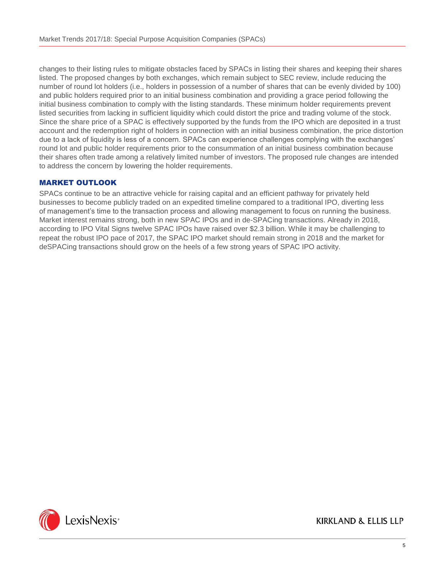changes to their listing rules to mitigate obstacles faced by SPACs in listing their shares and keeping their shares listed. The proposed changes by both exchanges, which remain subject to SEC review, include reducing the number of round lot holders (i.e., holders in possession of a number of shares that can be evenly divided by 100) and public holders required prior to an initial business combination and providing a grace period following the initial business combination to comply with the listing standards. These minimum holder requirements prevent listed securities from lacking in sufficient liquidity which could distort the price and trading volume of the stock. Since the share price of a SPAC is effectively supported by the funds from the IPO which are deposited in a trust account and the redemption right of holders in connection with an initial business combination, the price distortion due to a lack of liquidity is less of a concern. SPACs can experience challenges complying with the exchanges' round lot and public holder requirements prior to the consummation of an initial business combination because their shares often trade among a relatively limited number of investors. The proposed rule changes are intended to address the concern by lowering the holder requirements.

### MARKET OUTLOOK

SPACs continue to be an attractive vehicle for raising capital and an efficient pathway for privately held businesses to become publicly traded on an expedited timeline compared to a traditional IPO, diverting less of management's time to the transaction process and allowing management to focus on running the business. Market interest remains strong, both in new SPAC IPOs and in de-SPACing transactions. Already in 2018, according to IPO Vital Signs twelve SPAC IPOs have raised over \$2.3 billion. While it may be challenging to repeat the robust IPO pace of 2017, the SPAC IPO market should remain strong in 2018 and the market for deSPACing transactions should grow on the heels of a few strong years of SPAC IPO activity.